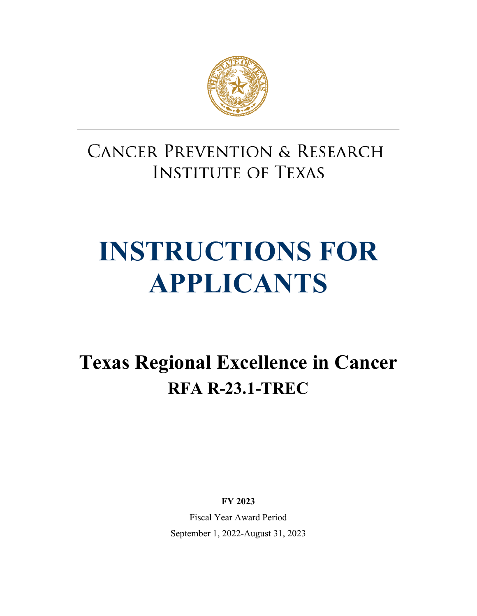

# **CANCER PREVENTION & RESEARCH INSTITUTE OF TEXAS**

# **INSTRUCTIONS FOR APPLICANTS**

**Texas Regional Excellence in Cancer RFA R-23.1-TREC**

**FY 2023**

Fiscal Year Award Period September 1, 2022-August 31, 2023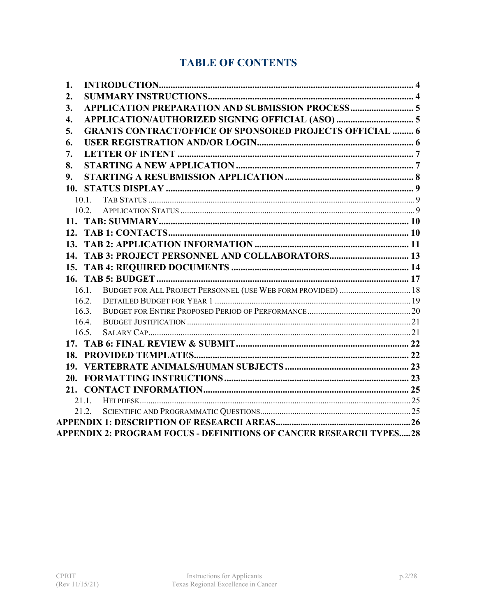# **TABLE OF CONTENTS**

| 1.                                                                    |
|-----------------------------------------------------------------------|
| 2.                                                                    |
| 3.                                                                    |
| APPLICATION/AUTHORIZED SIGNING OFFICIAL (ASO)  5<br>4.                |
| <b>GRANTS CONTRACT/OFFICE OF SPONSORED PROJECTS OFFICIAL  6</b><br>5. |
| 6.                                                                    |
| 7.                                                                    |
| 8.                                                                    |
| 9.                                                                    |
|                                                                       |
| 10.1                                                                  |
| 10.2.                                                                 |
|                                                                       |
|                                                                       |
|                                                                       |
| 14. TAB 3: PROJECT PERSONNEL AND COLLABORATORS 13                     |
|                                                                       |
|                                                                       |
| 16.1. BUDGET FOR ALL PROJECT PERSONNEL (USE WEB FORM PROVIDED)  18    |
| 16.2.                                                                 |
| 16.3.                                                                 |
| 16.4.<br>16.5.                                                        |
|                                                                       |
|                                                                       |
|                                                                       |
|                                                                       |
|                                                                       |
|                                                                       |
| 21.2.                                                                 |
|                                                                       |
| APPENDIX 2: PROGRAM FOCUS - DEFINITIONS OF CANCER RESEARCH TYPES28    |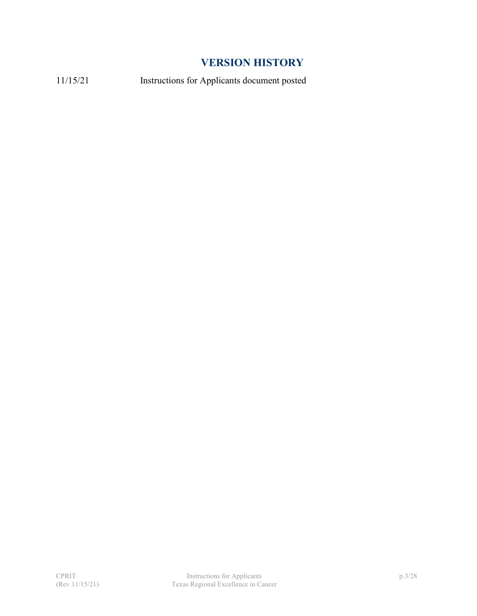# **VERSION HISTORY**

11/15/21 Instructions for Applicants document posted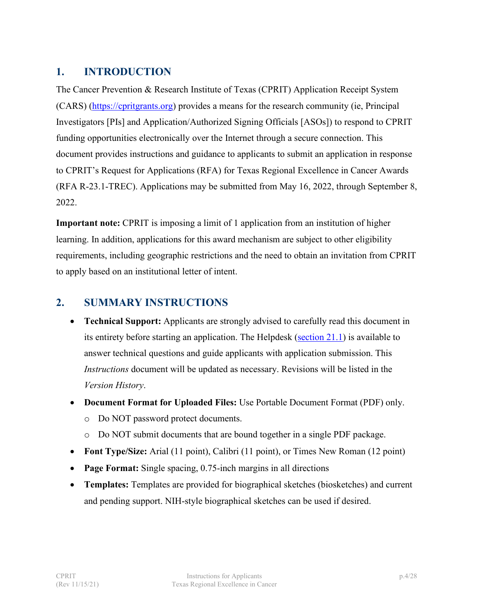# <span id="page-3-0"></span>**1. INTRODUCTION**

The Cancer Prevention & Research Institute of Texas (CPRIT) Application Receipt System (CARS) [\(https://cpritgrants.org\)](https://cpritgrants.org/) provides a means for the research community (ie, Principal Investigators [PIs] and Application/Authorized Signing Officials [ASOs]) to respond to CPRIT funding opportunities electronically over the Internet through a secure connection. This document provides instructions and guidance to applicants to submit an application in response to CPRIT's Request for Applications (RFA) for Texas Regional Excellence in Cancer Awards (RFA R-23.1-TREC). Applications may be submitted from May 16, 2022, through September 8, 2022.

**Important note:** CPRIT is imposing a limit of 1 application from an institution of higher learning. In addition, applications for this award mechanism are subject to other eligibility requirements, including geographic restrictions and the need to obtain an invitation from CPRIT to apply based on an institutional letter of intent.

# <span id="page-3-1"></span>**2. SUMMARY INSTRUCTIONS**

- **Technical Support:** Applicants are strongly advised to carefully read this document in its entirety before starting an application. The Helpdesk [\(section 21.1\)](#page-24-1) is available to answer technical questions and guide applicants with application submission. This *Instructions* document will be updated as necessary. Revisions will be listed in the *Version History*.
- **Document Format for Uploaded Files:** Use Portable Document Format (PDF) only. o Do NOT password protect documents.
	- o Do NOT submit documents that are bound together in a single PDF package.
- **Font Type/Size:** Arial (11 point), Calibri (11 point), or Times New Roman (12 point)
- **Page Format:** Single spacing, 0.75-inch margins in all directions
- **Templates:** Templates are provided for biographical sketches (biosketches) and current and pending support. NIH-style biographical sketches can be used if desired.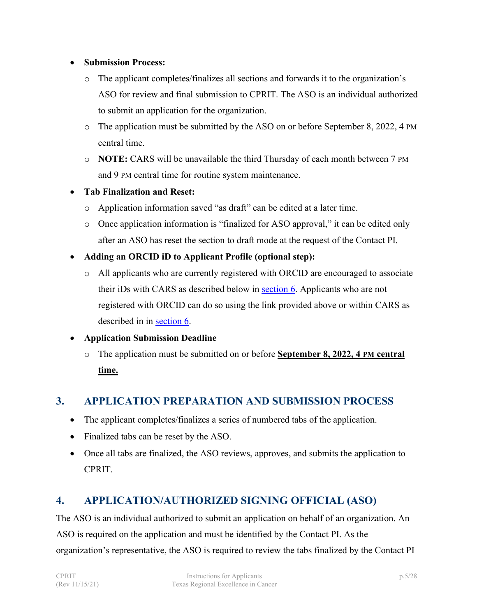#### • **Submission Process:**

- o The applicant completes/finalizes all sections and forwards it to the organization's ASO for review and final submission to CPRIT. The ASO is an individual authorized to submit an application for the organization.
- o The application must be submitted by the ASO on or before September 8, 2022, 4 PM central time.
- o **NOTE:** CARS will be unavailable the third Thursday of each month between 7 PM and 9 PM central time for routine system maintenance.
- **Tab Finalization and Reset:**
	- o Application information saved "as draft" can be edited at a later time.
	- o Once application information is "finalized for ASO approval," it can be edited only after an ASO has reset the section to draft mode at the request of the Contact PI.
- **Adding an ORCID iD to Applicant Profile (optional step):**
	- o All applicants who are currently registered with ORCID are encouraged to associate their iDs with CARS as described below in [section 6.](#page-5-1) Applicants who are not registered with ORCID can do so using the link provided above or within CARS as described in in [section 6.](#page-5-1)

#### • **Application Submission Deadline**

o The application must be submitted on or before **September 8, 2022, 4 PM central time.**

# <span id="page-4-0"></span>**3. APPLICATION PREPARATION AND SUBMISSION PROCESS**

- The applicant completes/finalizes a series of numbered tabs of the application.
- Finalized tabs can be reset by the ASO.
- Once all tabs are finalized, the ASO reviews, approves, and submits the application to CPRIT.

#### <span id="page-4-1"></span>**4. APPLICATION/AUTHORIZED SIGNING OFFICIAL (ASO)**

The ASO is an individual authorized to submit an application on behalf of an organization. An ASO is required on the application and must be identified by the Contact PI. As the organization's representative, the ASO is required to review the tabs finalized by the Contact PI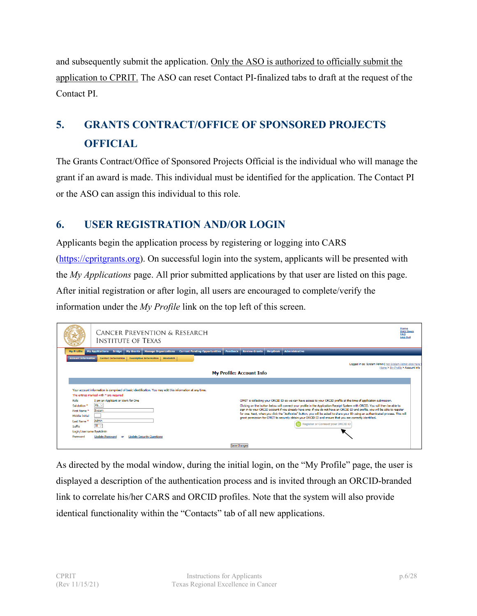and subsequently submit the application. Only the ASO is authorized to officially submit the application to CPRIT. The ASO can reset Contact PI-finalized tabs to draft at the request of the Contact PI.

# <span id="page-5-0"></span>**5. GRANTS CONTRACT/OFFICE OF SPONSORED PROJECTS OFFICIAL**

The Grants Contract/Office of Sponsored Projects Official is the individual who will manage the grant if an award is made. This individual must be identified for the application. The Contact PI or the ASO can assign this individual to this role.

# <span id="page-5-1"></span>**6. USER REGISTRATION AND/OR LOGIN**

Applicants begin the application process by registering or logging into CARS [\(https://cpritgrants.org\)](https://cpritgrants.org/). On successful login into the system, applicants will be presented with the *My Applications* page. All prior submitted applications by that user are listed on this page. After initial registration or after login, all users are encouraged to complete/verify the information under the *My Profile* link on the top left of this screen.

|                                           | <b>CANCER PREVENTION &amp; RESEARCH</b><br><b>INSTITUTE OF TEXAS</b>                                                                                                                                                                                                           | Home<br><b>Help Desk</b><br><b>FAQ</b><br><b>Log Out</b> |
|-------------------------------------------|--------------------------------------------------------------------------------------------------------------------------------------------------------------------------------------------------------------------------------------------------------------------------------|----------------------------------------------------------|
| <b>My Profile</b>                         | <b>HelpDesk</b><br>My Grants   Manage Organizations   Current Funding Opportunities<br><b>Feedback</b><br><b>Review Grants</b><br><b>Administrative</b><br><b>My Applications</b><br><b>Bridge</b>                                                                             |                                                          |
| <b>Account Information</b>                | <b>Contact Information</b><br><b>Descriptive Information   Biosketch</b>                                                                                                                                                                                                       |                                                          |
|                                           | Logged in as: System Admin [ not System Admin click here                                                                                                                                                                                                                       | Home > My Profile > Account Info                         |
|                                           | <b>My Profile: Account Info</b>                                                                                                                                                                                                                                                |                                                          |
|                                           | Your account information is comprised of basic identification. You may edit this information at any time.<br>The entries marked with * are required                                                                                                                            |                                                          |
| Role                                      | I am an Applicant or Work for One<br>CPRIT is collecting your ORCID ID so we can have access to your ORCID profile at the time of application submission.                                                                                                                      |                                                          |
| Salutation <sup>*</sup>                   | $Ms. \vee$<br>Clicking on the button below will connect your profile in the Application Receipt System with ORCID. You will then be able to<br>sign in to your ORCID account if you already have one; if you do not have an ORCID ID and profile, you will be able to register |                                                          |
| First Name <sup>*</sup><br>Middle Initial | System<br>for one. Next, when you click the "Authorize" button, you will be asked to share your ID using an authenticated process. This will                                                                                                                                   |                                                          |
| Last Name <sup>*</sup>                    | grant permission for CPRIT to securely obtain your ORCID ID and ensure that you are correctly identified.<br><b>Admin</b>                                                                                                                                                      |                                                          |
| Suffix                                    | <b>D</b> Register or Connect your ORCID iD<br>$\mathbb{H}$ $\vee$                                                                                                                                                                                                              |                                                          |
| Login/Username SysAdmin                   |                                                                                                                                                                                                                                                                                |                                                          |
| <b>Password</b>                           | <b>Update Password</b><br><b>Update Security Ouestions</b><br>œ                                                                                                                                                                                                                |                                                          |
|                                           | Save Changes                                                                                                                                                                                                                                                                   |                                                          |

As directed by the modal window, during the initial login, on the "My Profile" page, the user is displayed a description of the authentication process and is invited through an ORCID-branded link to correlate his/her CARS and ORCID profiles. Note that the system will also provide identical functionality within the "Contacts" tab of all new applications.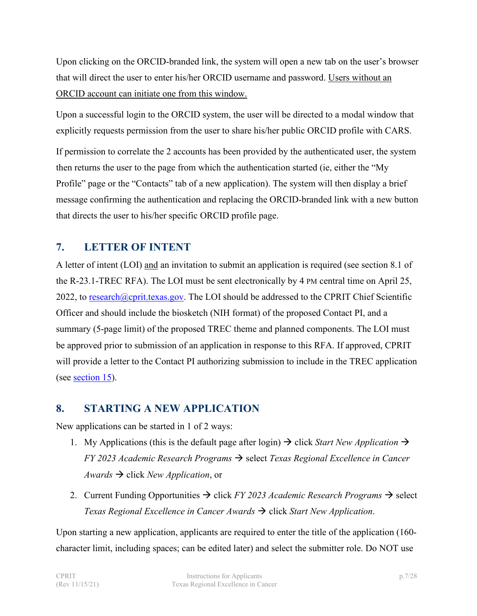Upon clicking on the ORCID-branded link, the system will open a new tab on the user's browser that will direct the user to enter his/her ORCID username and password. Users without an ORCID account can initiate one from this window.

Upon a successful login to the ORCID system, the user will be directed to a modal window that explicitly requests permission from the user to share his/her public ORCID profile with CARS.

If permission to correlate the 2 accounts has been provided by the authenticated user, the system then returns the user to the page from which the authentication started (ie, either the "My Profile" page or the "Contacts" tab of a new application). The system will then display a brief message confirming the authentication and replacing the ORCID-branded link with a new button that directs the user to his/her specific ORCID profile page.

# <span id="page-6-0"></span>**7. LETTER OF INTENT**

A letter of intent (LOI) and an invitation to submit an application is required (see section 8.1 of the R-23.1-TREC RFA). The LOI must be sent electronically by 4 PM central time on April 25, 2022, to [research@cprit.texas.gov.](mailto:research@cprit.texas.gov) The LOI should be addressed to the CPRIT Chief Scientific Officer and should include the biosketch (NIH format) of the proposed Contact PI, and a summary (5-page limit) of the proposed TREC theme and planned components. The LOI must be approved prior to submission of an application in response to this RFA. If approved, CPRIT will provide a letter to the Contact PI authorizing submission to include in the TREC application (see [section 15\)](#page-13-0).

# <span id="page-6-1"></span>**8. STARTING A NEW APPLICATION**

New applications can be started in 1 of 2 ways:

- 1. My Applications (this is the default page after login)  $\rightarrow$  click *Start New Application*  $\rightarrow$ *FY* 2023 *Academic Research Programs*  $\rightarrow$  select *Texas Regional Excellence in Cancer Awards*  $\rightarrow$  click *New Application*, or
- 2. Current Funding Opportunities  $\rightarrow$  click *FY 2023 Academic Research Programs*  $\rightarrow$  select *Texas Regional Excellence in Cancer Awards*  $\rightarrow$  click *Start New Application*.

Upon starting a new application, applicants are required to enter the title of the application (160 character limit, including spaces; can be edited later) and select the submitter role. Do NOT use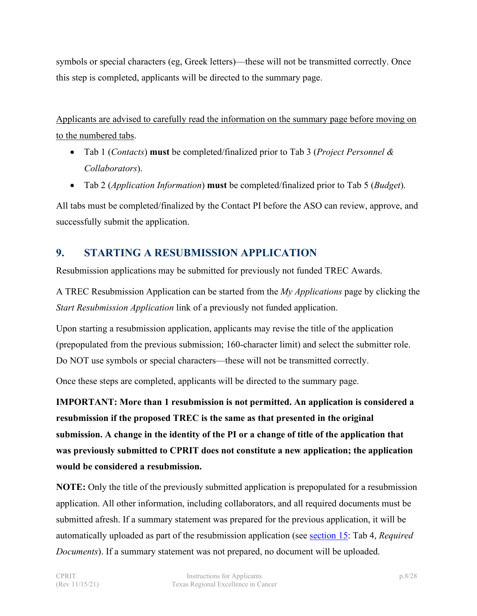symbols or special characters (eg, Greek letters)—these will not be transmitted correctly. Once this step is completed, applicants will be directed to the summary page.

Applicants are advised to carefully read the information on the summary page before moving on to the numbered tabs.

- Tab 1 (*Contacts*) **must** be completed/finalized prior to Tab 3 (*Project Personnel & Collaborators*).
- Tab 2 (*Application Information*) **must** be completed/finalized prior to Tab 5 (*Budget*).

All tabs must be completed/finalized by the Contact PI before the ASO can review, approve, and successfully submit the application.

# <span id="page-7-0"></span>**9. STARTING A RESUBMISSION APPLICATION**

Resubmission applications may be submitted for previously not funded TREC Awards.

A TREC Resubmission Application can be started from the *My Applications* page by clicking the *Start Resubmission Application* link of a previously not funded application.

Upon starting a resubmission application, applicants may revise the title of the application (prepopulated from the previous submission; 160-character limit) and select the submitter role. Do NOT use symbols or special characters—these will not be transmitted correctly.

Once these steps are completed, applicants will be directed to the summary page.

**IMPORTANT: More than 1 resubmission is not permitted. An application is considered a resubmission if the proposed TREC is the same as that presented in the original submission. A change in the identity of the PI or a change of title of the application that was previously submitted to CPRIT does not constitute a new application; the application would be considered a resubmission.**

**NOTE:** Only the title of the previously submitted application is prepopulated for a resubmission application. All other information, including collaborators, and all required documents must be submitted afresh. If a summary statement was prepared for the previous application, it will be automatically uploaded as part of the resubmission application (see [section 15:](#page-13-0) Tab 4, *Required Documents*). If a summary statement was not prepared, no document will be uploaded.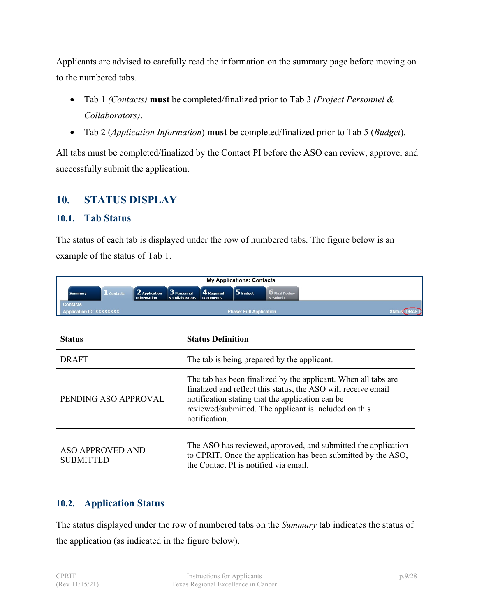Applicants are advised to carefully read the information on the summary page before moving on to the numbered tabs.

- Tab 1 *(Contacts)* **must** be completed/finalized prior to Tab 3 *(Project Personnel & Collaborators)*.
- Tab 2 (*Application Information*) **must** be completed/finalized prior to Tab 5 (*Budget*).

All tabs must be completed/finalized by the Contact PI before the ASO can review, approve, and successfully submit the application.

# <span id="page-8-0"></span>**10. STATUS DISPLAY**

#### <span id="page-8-1"></span>**10.1. Tab Status**

The status of each tab is displayed under the row of numbered tabs. The figure below is an example of the status of Tab 1.

|          |                  |                                      |                                                                        | <b>My Applications: Contacts</b> |                                   |  |
|----------|------------------|--------------------------------------|------------------------------------------------------------------------|----------------------------------|-----------------------------------|--|
| Summary  | $\perp$ Contacts | $\vert$ 2 Application<br>Information | $\vert$ 3 Personnel 4 Required<br><b>&amp; Collaborators Documents</b> | <b>5</b> Budget                  | <b>D</b> Final Review<br>& Submit |  |
| Contacts |                  |                                      |                                                                        |                                  |                                   |  |
|          |                  |                                      |                                                                        | <b>Phase: Full Application</b>   |                                   |  |

| <b>Status</b>                               | <b>Status Definition</b>                                                                                                                                                                                                                                      |  |  |
|---------------------------------------------|---------------------------------------------------------------------------------------------------------------------------------------------------------------------------------------------------------------------------------------------------------------|--|--|
| <b>DRAFT</b>                                | The tab is being prepared by the applicant.                                                                                                                                                                                                                   |  |  |
| PENDING ASO APPROVAL                        | The tab has been finalized by the applicant. When all tabs are<br>finalized and reflect this status, the ASO will receive email<br>notification stating that the application can be<br>reviewed/submitted. The applicant is included on this<br>notification. |  |  |
| <b>ASO APPROVED AND</b><br><b>SUBMITTED</b> | The ASO has reviewed, approved, and submitted the application<br>to CPRIT. Once the application has been submitted by the ASO,<br>the Contact PI is notified via email.                                                                                       |  |  |

#### <span id="page-8-2"></span>**10.2. Application Status**

The status displayed under the row of numbered tabs on the *Summary* tab indicates the status of the application (as indicated in the figure below).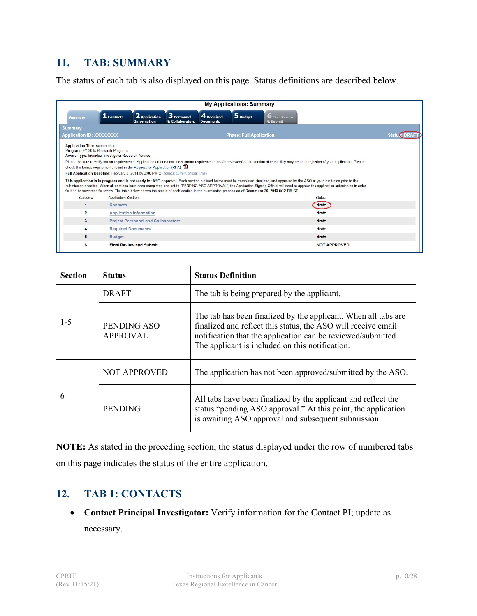# <span id="page-9-0"></span>**11. TAB: SUMMARY**

The status of each tab is also displayed on this page. Status definitions are described below.

|                                                                                                                             |                                                                                         |                                                                                                                                                   | <b>My Applications: Summary</b> |                                                                                                                                                                                                                                                                                                                                                                                  |  |
|-----------------------------------------------------------------------------------------------------------------------------|-----------------------------------------------------------------------------------------|---------------------------------------------------------------------------------------------------------------------------------------------------|---------------------------------|----------------------------------------------------------------------------------------------------------------------------------------------------------------------------------------------------------------------------------------------------------------------------------------------------------------------------------------------------------------------------------|--|
| <b>Summary</b>                                                                                                              | 2 Application<br>$\overline{\mathbf{1}}$ Contacts<br><b>Information</b>                 | 3 Personnel<br>4 Required<br>& Collaborators<br><b>Documents</b>                                                                                  | 5 Budget                        | <b>6</b> Final Review<br>& Submit                                                                                                                                                                                                                                                                                                                                                |  |
| <b>Summary</b><br><b>Application ID: XXXXXXXX</b>                                                                           |                                                                                         |                                                                                                                                                   | <b>Phase: Full Application</b>  |                                                                                                                                                                                                                                                                                                                                                                                  |  |
| Application Title: screen shot<br>Program: FY 2014 Research Programs<br>Award Type: Individual Investigator Research Awards |                                                                                         |                                                                                                                                                   |                                 |                                                                                                                                                                                                                                                                                                                                                                                  |  |
|                                                                                                                             | check the format requirements found in the Request for Application (RFA).               |                                                                                                                                                   |                                 | Please be sure to verify format requirements. Applications that do not meet format requirements and/or reviewers' determination of readability may result in rejection of your application. Please                                                                                                                                                                               |  |
|                                                                                                                             | Full Application Deadline: February 3, 2014 by 3:00 PM CT (check current official time) |                                                                                                                                                   |                                 |                                                                                                                                                                                                                                                                                                                                                                                  |  |
|                                                                                                                             |                                                                                         | for it to be forwarded for review. The table below shows the status of each section in the submission process as of December 20, 2013 5:12 PM CT. |                                 | This application is in progress and is not ready for ASO approval. Each section outlined below must be completed, finalized, and approved by the ASO at your institution prior to the<br>submission deadline. When all sections have been completed and set to "PENDING ASO APPROVAL", the Application Signing Official will need to approve the application submission in order |  |
| Section #                                                                                                                   | <b>Application Section</b>                                                              |                                                                                                                                                   |                                 | <b>Status</b>                                                                                                                                                                                                                                                                                                                                                                    |  |
| 1                                                                                                                           | <b>Contacts</b>                                                                         |                                                                                                                                                   |                                 | draft                                                                                                                                                                                                                                                                                                                                                                            |  |
| $\overline{2}$                                                                                                              | <b>Application Information</b>                                                          |                                                                                                                                                   |                                 | draft                                                                                                                                                                                                                                                                                                                                                                            |  |
| $\mathbf{3}$                                                                                                                | <b>Project Personnel and Collaborators</b>                                              |                                                                                                                                                   |                                 | draft                                                                                                                                                                                                                                                                                                                                                                            |  |
| 4                                                                                                                           | <b>Required Documents</b>                                                               |                                                                                                                                                   |                                 | draft                                                                                                                                                                                                                                                                                                                                                                            |  |
| 5                                                                                                                           | <b>Budget</b>                                                                           |                                                                                                                                                   |                                 | draft                                                                                                                                                                                                                                                                                                                                                                            |  |
| 6                                                                                                                           | <b>Final Review and Submit</b>                                                          |                                                                                                                                                   |                                 | <b>NOT APPROVED</b>                                                                                                                                                                                                                                                                                                                                                              |  |

| <b>Section</b> | <b>Status Definition</b><br><b>Status</b> |                                                                                                                                                                                                                                                    |  |  |
|----------------|-------------------------------------------|----------------------------------------------------------------------------------------------------------------------------------------------------------------------------------------------------------------------------------------------------|--|--|
| $1-5$          | <b>DRAFT</b>                              | The tab is being prepared by the applicant.                                                                                                                                                                                                        |  |  |
|                | PENDING ASO<br>APPROVAL                   | The tab has been finalized by the applicant. When all tabs are<br>finalized and reflect this status, the ASO will receive email<br>notification that the application can be reviewed/submitted.<br>The applicant is included on this notification. |  |  |
| 6              | <b>NOT APPROVED</b>                       | The application has not been approved/submitted by the ASO.                                                                                                                                                                                        |  |  |
|                | <b>PENDING</b>                            | All tabs have been finalized by the applicant and reflect the<br>status "pending ASO approval." At this point, the application<br>is awaiting ASO approval and subsequent submission.                                                              |  |  |

**NOTE:** As stated in the preceding section, the status displayed under the row of numbered tabs on this page indicates the status of the entire application.

# <span id="page-9-1"></span>**12. TAB 1: CONTACTS**

• **Contact Principal Investigator:** Verify information for the Contact PI; update as necessary.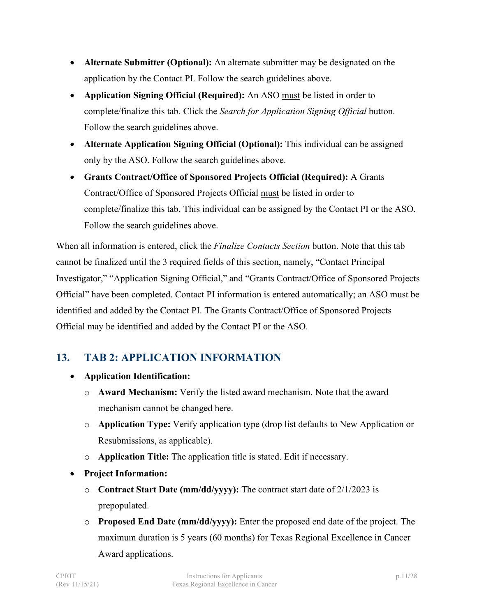- **Alternate Submitter (Optional):** An alternate submitter may be designated on the application by the Contact PI. Follow the search guidelines above.
- **Application Signing Official (Required):** An ASO must be listed in order to complete/finalize this tab. Click the *Search for Application Signing Official* button. Follow the search guidelines above.
- **Alternate Application Signing Official (Optional):** This individual can be assigned only by the ASO. Follow the search guidelines above.
- **Grants Contract/Office of Sponsored Projects Official (Required):** A Grants Contract/Office of Sponsored Projects Official must be listed in order to complete/finalize this tab. This individual can be assigned by the Contact PI or the ASO. Follow the search guidelines above.

When all information is entered, click the *Finalize Contacts Section* button. Note that this tab cannot be finalized until the 3 required fields of this section, namely, "Contact Principal Investigator," "Application Signing Official," and "Grants Contract/Office of Sponsored Projects Official" have been completed. Contact PI information is entered automatically; an ASO must be identified and added by the Contact PI. The Grants Contract/Office of Sponsored Projects Official may be identified and added by the Contact PI or the ASO.

# <span id="page-10-0"></span>**13. TAB 2: APPLICATION INFORMATION**

- **Application Identification:**
	- o **Award Mechanism:** Verify the listed award mechanism. Note that the award mechanism cannot be changed here.
	- o **Application Type:** Verify application type (drop list defaults to New Application or Resubmissions, as applicable).
	- o **Application Title:** The application title is stated. Edit if necessary.
- **Project Information:**
	- o **Contract Start Date (mm/dd/yyyy):** The contract start date of 2/1/2023 is prepopulated.
	- o **Proposed End Date (mm/dd/yyyy):** Enter the proposed end date of the project. The maximum duration is 5 years (60 months) for Texas Regional Excellence in Cancer Award applications.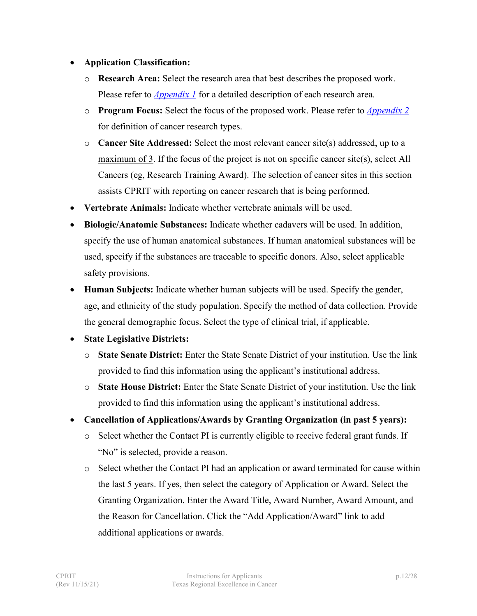#### • **Application Classification:**

- o **Research Area:** Select the research area that best describes the proposed work. Please refer to *[Appendix 1](#page-25-0)* for a detailed description of each research area.
- o **Program Focus:** Select the focus of the proposed work. Please refer to *[Appendix 2](#page-27-0)* for definition of cancer research types.
- o **Cancer Site Addressed:** Select the most relevant cancer site(s) addressed, up to a maximum of 3. If the focus of the project is not on specific cancer site(s), select All Cancers (eg, Research Training Award). The selection of cancer sites in this section assists CPRIT with reporting on cancer research that is being performed.
- **Vertebrate Animals:** Indicate whether vertebrate animals will be used.
- **Biologic/Anatomic Substances:** Indicate whether cadavers will be used. In addition, specify the use of human anatomical substances. If human anatomical substances will be used, specify if the substances are traceable to specific donors. Also, select applicable safety provisions.
- **Human Subjects:** Indicate whether human subjects will be used. Specify the gender, age, and ethnicity of the study population. Specify the method of data collection. Provide the general demographic focus. Select the type of clinical trial, if applicable.
- **State Legislative Districts:**
	- o **State Senate District:** Enter the State Senate District of your institution. Use the link provided to find this information using the applicant's institutional address.
	- o **State House District:** Enter the State Senate District of your institution. Use the link provided to find this information using the applicant's institutional address.
- **Cancellation of Applications/Awards by Granting Organization (in past 5 years):**
	- o Select whether the Contact PI is currently eligible to receive federal grant funds. If "No" is selected, provide a reason.
	- o Select whether the Contact PI had an application or award terminated for cause within the last 5 years. If yes, then select the category of Application or Award. Select the Granting Organization. Enter the Award Title, Award Number, Award Amount, and the Reason for Cancellation. Click the "Add Application/Award" link to add additional applications or awards.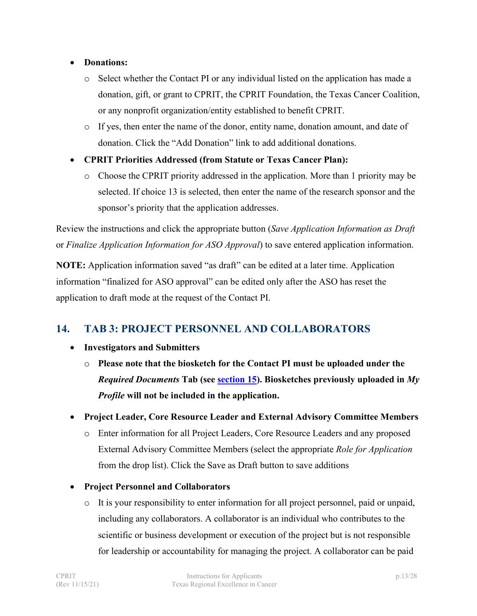#### • **Donations:**

- o Select whether the Contact PI or any individual listed on the application has made a donation, gift, or grant to CPRIT, the CPRIT Foundation, the Texas Cancer Coalition, or any nonprofit organization/entity established to benefit CPRIT.
- o If yes, then enter the name of the donor, entity name, donation amount, and date of donation. Click the "Add Donation" link to add additional donations.

#### • **CPRIT Priorities Addressed (from Statute or Texas Cancer Plan):**

o Choose the CPRIT priority addressed in the application. More than 1 priority may be selected. If choice 13 is selected, then enter the name of the research sponsor and the sponsor's priority that the application addresses.

Review the instructions and click the appropriate button (*Save Application Information as Draft* or *Finalize Application Information for ASO Approval*) to save entered application information.

**NOTE:** Application information saved "as draft" can be edited at a later time. Application information "finalized for ASO approval" can be edited only after the ASO has reset the application to draft mode at the request of the Contact PI.

# <span id="page-12-0"></span>**14. TAB 3: PROJECT PERSONNEL AND COLLABORATORS**

- **Investigators and Submitters**
	- o **Please note that the biosketch for the Contact PI must be uploaded under the**  *Required Documents* **Tab (see [section 15\)](#page-13-0). Biosketches previously uploaded in** *My Profile* **will not be included in the application.**

#### • **Project Leader, Core Resource Leader and External Advisory Committee Members**

o Enter information for all Project Leaders, Core Resource Leaders and any proposed External Advisory Committee Members (select the appropriate *Role for Application* from the drop list). Click the Save as Draft button to save additions

#### • **Project Personnel and Collaborators**

o It is your responsibility to enter information for all project personnel, paid or unpaid, including any collaborators. A collaborator is an individual who contributes to the scientific or business development or execution of the project but is not responsible for leadership or accountability for managing the project. A collaborator can be paid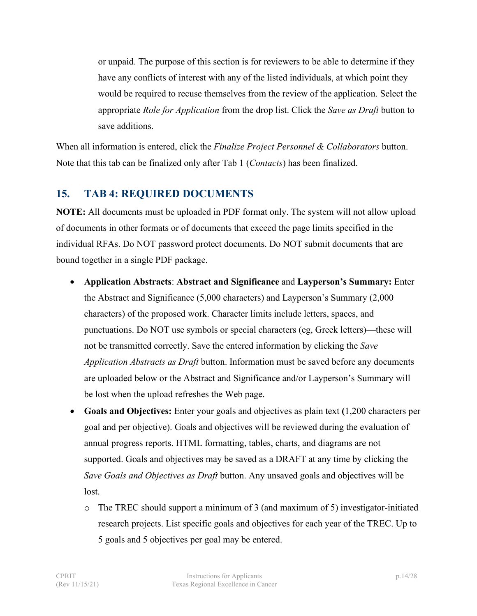or unpaid. The purpose of this section is for reviewers to be able to determine if they have any conflicts of interest with any of the listed individuals, at which point they would be required to recuse themselves from the review of the application. Select the appropriate *Role for Application* from the drop list. Click the *Save as Draft* button to save additions.

When all information is entered, click the *Finalize Project Personnel & Collaborators* button. Note that this tab can be finalized only after Tab 1 (*Contacts*) has been finalized.

# <span id="page-13-0"></span>**15. TAB 4: REQUIRED DOCUMENTS**

**NOTE:** All documents must be uploaded in PDF format only. The system will not allow upload of documents in other formats or of documents that exceed the page limits specified in the individual RFAs. Do NOT password protect documents. Do NOT submit documents that are bound together in a single PDF package.

- **Application Abstracts**: **Abstract and Significance** and **Layperson's Summary:** Enter the Abstract and Significance (5,000 characters) and Layperson's Summary (2,000 characters) of the proposed work. Character limits include letters, spaces, and punctuations. Do NOT use symbols or special characters (eg, Greek letters)—these will not be transmitted correctly. Save the entered information by clicking the *Save Application Abstracts as Draft* button. Information must be saved before any documents are uploaded below or the Abstract and Significance and/or Layperson's Summary will be lost when the upload refreshes the Web page.
- **Goals and Objectives:** Enter your goals and objectives as plain text **(**1,200 characters per goal and per objective). Goals and objectives will be reviewed during the evaluation of annual progress reports. HTML formatting, tables, charts, and diagrams are not supported. Goals and objectives may be saved as a DRAFT at any time by clicking the *Save Goals and Objectives as Draft* button. Any unsaved goals and objectives will be lost.
	- $\circ$  The TREC should support a minimum of 3 (and maximum of 5) investigator-initiated research projects. List specific goals and objectives for each year of the TREC. Up to 5 goals and 5 objectives per goal may be entered.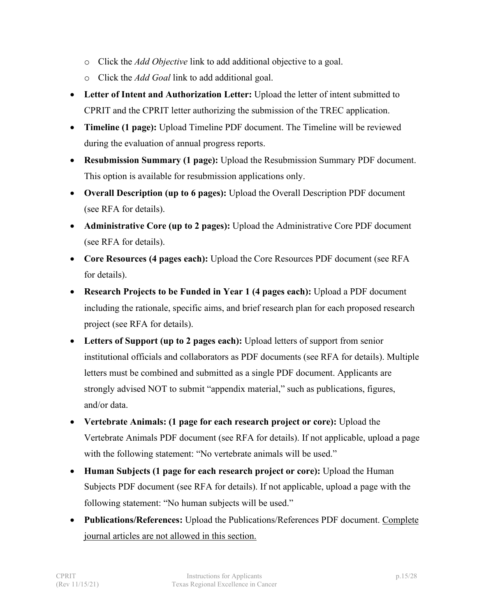- o Click the *Add Objective* link to add additional objective to a goal.
- o Click the *Add Goal* link to add additional goal.
- **Letter of Intent and Authorization Letter:** Upload the letter of intent submitted to CPRIT and the CPRIT letter authorizing the submission of the TREC application.
- **Timeline (1 page):** Upload Timeline PDF document. The Timeline will be reviewed during the evaluation of annual progress reports.
- **Resubmission Summary (1 page):** Upload the Resubmission Summary PDF document. This option is available for resubmission applications only.
- **Overall Description (up to 6 pages):** Upload the Overall Description PDF document (see RFA for details).
- **Administrative Core (up to 2 pages):** Upload the Administrative Core PDF document (see RFA for details).
- **Core Resources (4 pages each):** Upload the Core Resources PDF document (see RFA for details).
- **Research Projects to be Funded in Year 1 (4 pages each):** Upload a PDF document including the rationale, specific aims, and brief research plan for each proposed research project (see RFA for details).
- **Letters of Support (up to 2 pages each):** Upload letters of support from senior institutional officials and collaborators as PDF documents (see RFA for details). Multiple letters must be combined and submitted as a single PDF document. Applicants are strongly advised NOT to submit "appendix material," such as publications, figures, and/or data.
- **Vertebrate Animals: (1 page for each research project or core):** Upload the Vertebrate Animals PDF document (see RFA for details). If not applicable, upload a page with the following statement: "No vertebrate animals will be used."
- **Human Subjects (1 page for each research project or core):** Upload the Human Subjects PDF document (see RFA for details). If not applicable, upload a page with the following statement: "No human subjects will be used."
- **Publications/References:** Upload the Publications/References PDF document. Complete journal articles are not allowed in this section.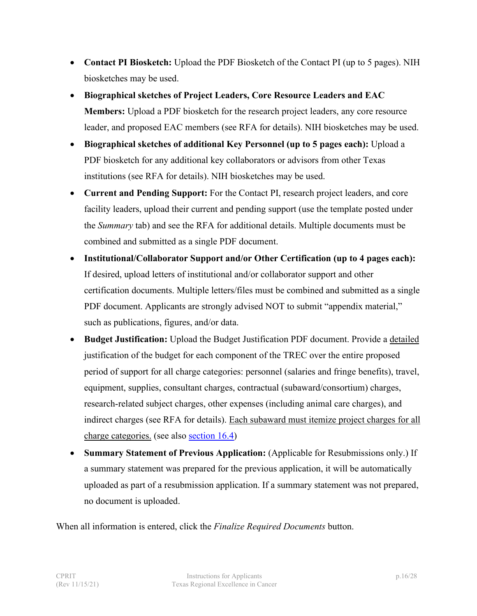- **Contact PI Biosketch:** Upload the PDF Biosketch of the Contact PI (up to 5 pages). NIH biosketches may be used.
- **Biographical sketches of Project Leaders, Core Resource Leaders and EAC Members:** Upload a PDF biosketch for the research project leaders, any core resource leader, and proposed EAC members (see RFA for details). NIH biosketches may be used.
- **Biographical sketches of additional Key Personnel (up to 5 pages each):** Upload a PDF biosketch for any additional key collaborators or advisors from other Texas institutions (see RFA for details). NIH biosketches may be used.
- **Current and Pending Support:** For the Contact PI, research project leaders, and core facility leaders, upload their current and pending support (use the template posted under the *Summary* tab) and see the RFA for additional details. Multiple documents must be combined and submitted as a single PDF document.
- **Institutional/Collaborator Support and/or Other Certification (up to 4 pages each):** If desired, upload letters of institutional and/or collaborator support and other certification documents. Multiple letters/files must be combined and submitted as a single PDF document. Applicants are strongly advised NOT to submit "appendix material," such as publications, figures, and/or data.
- **Budget Justification:** Upload the Budget Justification PDF document. Provide a detailed justification of the budget for each component of the TREC over the entire proposed period of support for all charge categories: personnel (salaries and fringe benefits), travel, equipment, supplies, consultant charges, contractual (subaward/consortium) charges, research-related subject charges, other expenses (including animal care charges), and indirect charges (see RFA for details). Each subaward must itemize project charges for all charge categories. (see also [section 16.4\)](#page-20-0)
- **Summary Statement of Previous Application:** (Applicable for Resubmissions only.) If a summary statement was prepared for the previous application, it will be automatically uploaded as part of a resubmission application. If a summary statement was not prepared, no document is uploaded.

When all information is entered, click the *Finalize Required Documents* button.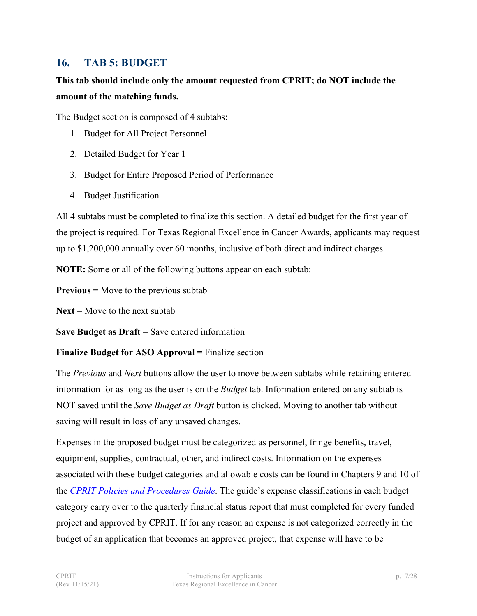#### <span id="page-16-0"></span>**16. TAB 5: BUDGET**

# **This tab should include only the amount requested from CPRIT; do NOT include the amount of the matching funds.**

The Budget section is composed of 4 subtabs:

- 1. Budget for All Project Personnel
- 2. Detailed Budget for Year 1
- 3. Budget for Entire Proposed Period of Performance
- 4. Budget Justification

All 4 subtabs must be completed to finalize this section. A detailed budget for the first year of the project is required. For Texas Regional Excellence in Cancer Awards, applicants may request up to \$1,200,000 annually over 60 months, inclusive of both direct and indirect charges.

**NOTE:** Some or all of the following buttons appear on each subtab:

**Previous** = Move to the previous subtab

 $Next = Move to the next subtab$ 

**Save Budget as Draft** = Save entered information

#### **Finalize Budget for ASO Approval =** Finalize section

The *Previous* and *Next* buttons allow the user to move between subtabs while retaining entered information for as long as the user is on the *Budget* tab. Information entered on any subtab is NOT saved until the *Save Budget as Draft* button is clicked. Moving to another tab without saving will result in loss of any unsaved changes.

Expenses in the proposed budget must be categorized as personnel, fringe benefits, travel, equipment, supplies, contractual, other, and indirect costs. Information on the expenses associated with these budget categories and allowable costs can be found in Chapters 9 and 10 of the *[CPRIT Policies and Procedures Guide](https://www.cprit.state.tx.us/grants-funded/grantee-resources/)*. The guide's expense classifications in each budget category carry over to the quarterly financial status report that must completed for every funded project and approved by CPRIT. If for any reason an expense is not categorized correctly in the budget of an application that becomes an approved project, that expense will have to be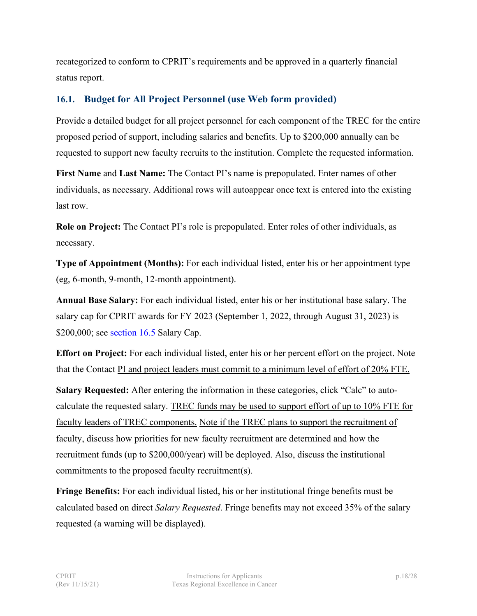recategorized to conform to CPRIT's requirements and be approved in a quarterly financial status report.

#### <span id="page-17-0"></span>**16.1. Budget for All Project Personnel (use Web form provided)**

Provide a detailed budget for all project personnel for each component of the TREC for the entire proposed period of support, including salaries and benefits. Up to \$200,000 annually can be requested to support new faculty recruits to the institution. Complete the requested information.

**First Name** and **Last Name:** The Contact PI's name is prepopulated. Enter names of other individuals, as necessary. Additional rows will autoappear once text is entered into the existing last row.

**Role on Project:** The Contact PI's role is prepopulated. Enter roles of other individuals, as necessary.

**Type of Appointment (Months):** For each individual listed, enter his or her appointment type (eg, 6-month, 9-month, 12-month appointment).

**Annual Base Salary:** For each individual listed, enter his or her institutional base salary. The salary cap for CPRIT awards for FY 2023 (September 1, 2022, through August 31, 2023) is \$200,000; see [section](#page-20-1) 16.5 Salary Cap.

**Effort on Project:** For each individual listed, enter his or her percent effort on the project. Note that the Contact PI and project leaders must commit to a minimum level of effort of 20% FTE.

**Salary Requested:** After entering the information in these categories, click "Calc" to autocalculate the requested salary. TREC funds may be used to support effort of up to 10% FTE for faculty leaders of TREC components. Note if the TREC plans to support the recruitment of faculty, discuss how priorities for new faculty recruitment are determined and how the recruitment funds (up to \$200,000/year) will be deployed. Also, discuss the institutional commitments to the proposed faculty recruitment(s).

**Fringe Benefits:** For each individual listed, his or her institutional fringe benefits must be calculated based on direct *Salary Requested*. Fringe benefits may not exceed 35% of the salary requested (a warning will be displayed).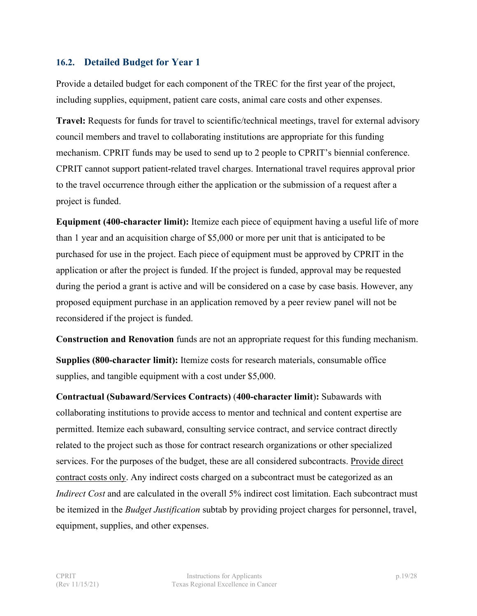#### <span id="page-18-0"></span>**16.2. Detailed Budget for Year 1**

Provide a detailed budget for each component of the TREC for the first year of the project, including supplies, equipment, patient care costs, animal care costs and other expenses.

**Travel:** Requests for funds for travel to scientific/technical meetings, travel for external advisory council members and travel to collaborating institutions are appropriate for this funding mechanism. CPRIT funds may be used to send up to 2 people to CPRIT's biennial conference. CPRIT cannot support patient-related travel charges. International travel requires approval prior to the travel occurrence through either the application or the submission of a request after a project is funded.

**Equipment (400-character limit):** Itemize each piece of equipment having a useful life of more than 1 year and an acquisition charge of \$5,000 or more per unit that is anticipated to be purchased for use in the project. Each piece of equipment must be approved by CPRIT in the application or after the project is funded. If the project is funded, approval may be requested during the period a grant is active and will be considered on a case by case basis. However, any proposed equipment purchase in an application removed by a peer review panel will not be reconsidered if the project is funded.

**Construction and Renovation** funds are not an appropriate request for this funding mechanism. **Supplies (800-character limit):** Itemize costs for research materials, consumable office supplies, and tangible equipment with a cost under \$5,000.

**Contractual (Subaward/Services Contracts)** (**400-character limit**)**:** Subawards with collaborating institutions to provide access to mentor and technical and content expertise are permitted. Itemize each subaward, consulting service contract, and service contract directly related to the project such as those for contract research organizations or other specialized services. For the purposes of the budget, these are all considered subcontracts. Provide direct contract costs only. Any indirect costs charged on a subcontract must be categorized as an *Indirect Cost* and are calculated in the overall 5% indirect cost limitation. Each subcontract must be itemized in the *Budget Justification* subtab by providing project charges for personnel, travel, equipment, supplies, and other expenses.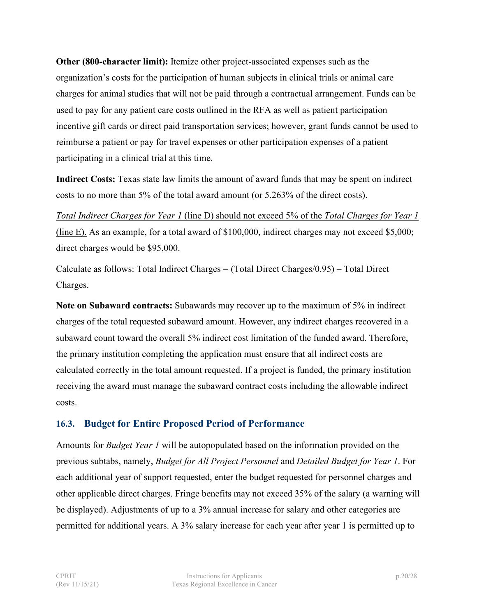**Other (800-character limit):** Itemize other project-associated expenses such as the organization's costs for the participation of human subjects in clinical trials or animal care charges for animal studies that will not be paid through a contractual arrangement. Funds can be used to pay for any patient care costs outlined in the RFA as well as patient participation incentive gift cards or direct paid transportation services; however, grant funds cannot be used to reimburse a patient or pay for travel expenses or other participation expenses of a patient participating in a clinical trial at this time.

**Indirect Costs:** Texas state law limits the amount of award funds that may be spent on indirect costs to no more than 5% of the total award amount (or 5.263% of the direct costs).

*Total Indirect Charges for Year 1* (line D) should not exceed 5% of the *Total Charges for Year 1* (line E). As an example, for a total award of \$100,000, indirect charges may not exceed \$5,000; direct charges would be \$95,000.

Calculate as follows: Total Indirect Charges = (Total Direct Charges/0.95) – Total Direct Charges.

**Note on Subaward contracts:** Subawards may recover up to the maximum of 5% in indirect charges of the total requested subaward amount. However, any indirect charges recovered in a subaward count toward the overall 5% indirect cost limitation of the funded award. Therefore, the primary institution completing the application must ensure that all indirect costs are calculated correctly in the total amount requested. If a project is funded, the primary institution receiving the award must manage the subaward contract costs including the allowable indirect costs.

#### <span id="page-19-0"></span>**16.3. Budget for Entire Proposed Period of Performance**

Amounts for *Budget Year 1* will be autopopulated based on the information provided on the previous subtabs, namely, *Budget for All Project Personnel* and *Detailed Budget for Year 1*. For each additional year of support requested, enter the budget requested for personnel charges and other applicable direct charges. Fringe benefits may not exceed 35% of the salary (a warning will be displayed). Adjustments of up to a 3% annual increase for salary and other categories are permitted for additional years. A 3% salary increase for each year after year 1 is permitted up to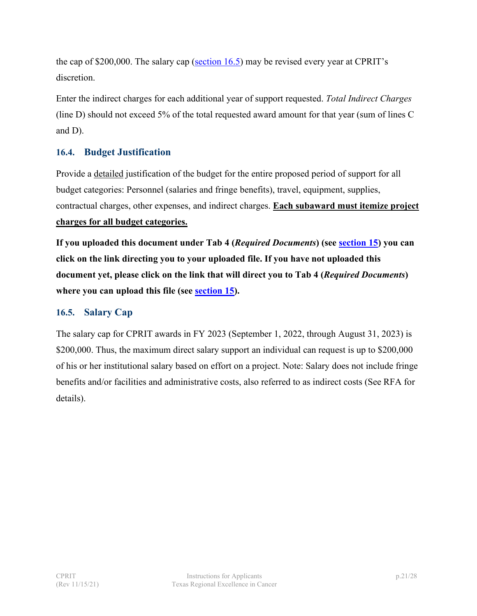the cap of \$200,000. The salary cap [\(section](#page-20-1)  $16.5$ ) may be revised every year at CPRIT's discretion.

Enter the indirect charges for each additional year of support requested. *Total Indirect Charges* (line D) should not exceed 5% of the total requested award amount for that year (sum of lines C and D).

#### <span id="page-20-0"></span>**16.4. Budget Justification**

Provide a detailed justification of the budget for the entire proposed period of support for all budget categories: Personnel (salaries and fringe benefits), travel, equipment, supplies, contractual charges, other expenses, and indirect charges. **Each subaward must itemize project** 

#### **charges for all budget categories.**

**If you uploaded this document under Tab 4 (***Required Documents***) (see [section 15\)](#page-13-0) you can click on the link directing you to your uploaded file. If you have not uploaded this document yet, please click on the link that will direct you to Tab 4 (***Required Documents***) where you can upload this file (see [section 15\)](#page-13-0).**

#### <span id="page-20-1"></span>**16.5. Salary Cap**

The salary cap for CPRIT awards in FY 2023 (September 1, 2022, through August 31, 2023) is \$200,000. Thus, the maximum direct salary support an individual can request is up to \$200,000 of his or her institutional salary based on effort on a project. Note: Salary does not include fringe benefits and/or facilities and administrative costs, also referred to as indirect costs (See RFA for details).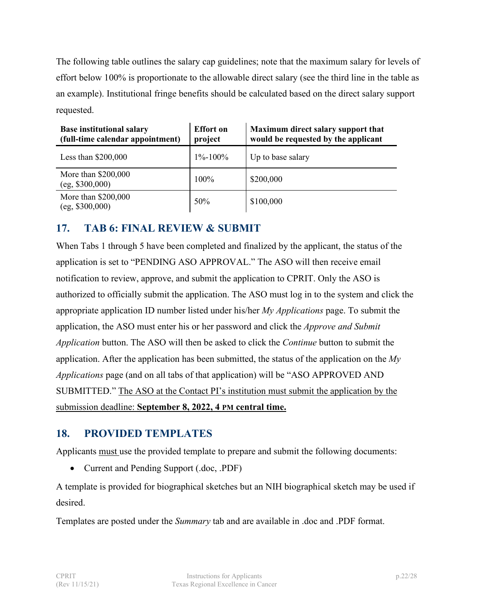The following table outlines the salary cap guidelines; note that the maximum salary for levels of effort below 100% is proportionate to the allowable direct salary (see the third line in the table as an example). Institutional fringe benefits should be calculated based on the direct salary support requested.

| <b>Base institutional salary</b><br>(full-time calendar appointment) | <b>Effort</b> on<br>project | Maximum direct salary support that<br>would be requested by the applicant |
|----------------------------------------------------------------------|-----------------------------|---------------------------------------------------------------------------|
| Less than $$200,000$                                                 | $1\% - 100\%$               | Up to base salary                                                         |
| More than \$200,000<br>$(eg, \$300,000)$                             | 100%                        | \$200,000                                                                 |
| More than \$200,000<br>$(eg, \$300,000)$                             | 50%                         | \$100,000                                                                 |

# <span id="page-21-0"></span>**17. TAB 6: FINAL REVIEW & SUBMIT**

When Tabs 1 through 5 have been completed and finalized by the applicant, the status of the application is set to "PENDING ASO APPROVAL." The ASO will then receive email notification to review, approve, and submit the application to CPRIT. Only the ASO is authorized to officially submit the application. The ASO must log in to the system and click the appropriate application ID number listed under his/her *My Applications* page. To submit the application, the ASO must enter his or her password and click the *Approve and Submit Application* button. The ASO will then be asked to click the *Continue* button to submit the application. After the application has been submitted, the status of the application on the *My Applications* page (and on all tabs of that application) will be "ASO APPROVED AND SUBMITTED." The ASO at the Contact PI's institution must submit the application by the submission deadline: **September 8, 2022, 4 PM central time.**

# <span id="page-21-1"></span>**18. PROVIDED TEMPLATES**

Applicants must use the provided template to prepare and submit the following documents:

• Current and Pending Support (.doc, .PDF)

A template is provided for biographical sketches but an NIH biographical sketch may be used if desired.

Templates are posted under the *Summary* tab and are available in .doc and .PDF format.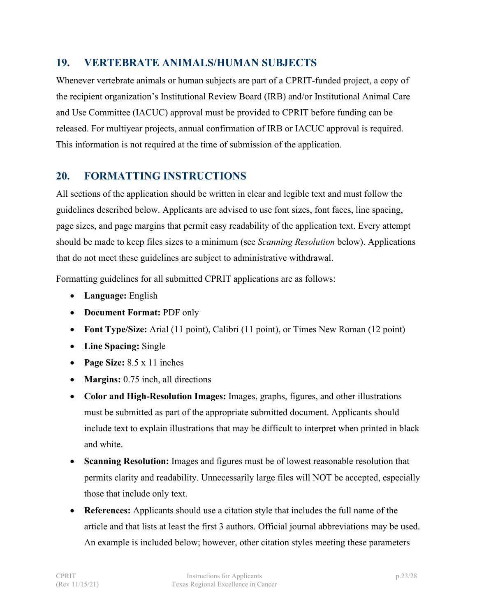#### <span id="page-22-0"></span>**19. VERTEBRATE ANIMALS/HUMAN SUBJECTS**

Whenever vertebrate animals or human subjects are part of a CPRIT-funded project, a copy of the recipient organization's Institutional Review Board (IRB) and/or Institutional Animal Care and Use Committee (IACUC) approval must be provided to CPRIT before funding can be released. For multiyear projects, annual confirmation of IRB or IACUC approval is required. This information is not required at the time of submission of the application.

# <span id="page-22-1"></span>**20. FORMATTING INSTRUCTIONS**

All sections of the application should be written in clear and legible text and must follow the guidelines described below. Applicants are advised to use font sizes, font faces, line spacing, page sizes, and page margins that permit easy readability of the application text. Every attempt should be made to keep files sizes to a minimum (see *Scanning Resolution* below). Applications that do not meet these guidelines are subject to administrative withdrawal.

Formatting guidelines for all submitted CPRIT applications are as follows:

- **Language:** English
- **Document Format:** PDF only
- **Font Type/Size:** Arial (11 point), Calibri (11 point), or Times New Roman (12 point)
- **Line Spacing:** Single
- **Page Size:** 8.5 x 11 inches
- **Margins:** 0.75 inch, all directions
- **Color and High-Resolution Images:** Images, graphs, figures, and other illustrations must be submitted as part of the appropriate submitted document. Applicants should include text to explain illustrations that may be difficult to interpret when printed in black and white.
- **Scanning Resolution:** Images and figures must be of lowest reasonable resolution that permits clarity and readability. Unnecessarily large files will NOT be accepted, especially those that include only text.
- **References:** Applicants should use a citation style that includes the full name of the article and that lists at least the first 3 authors. Official journal abbreviations may be used. An example is included below; however, other citation styles meeting these parameters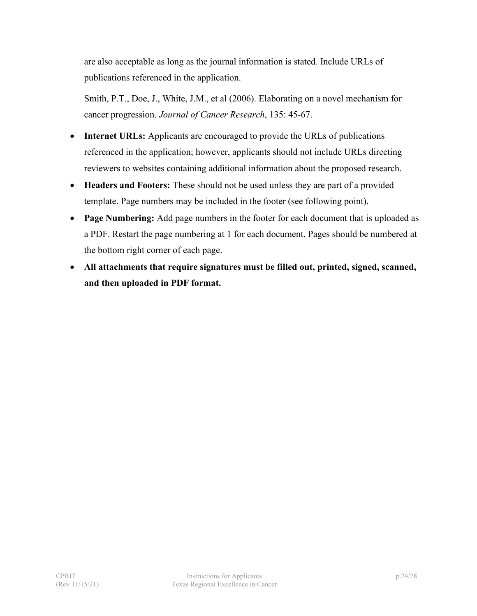are also acceptable as long as the journal information is stated. Include URLs of publications referenced in the application.

Smith, P.T., Doe, J., White, J.M., et al (2006). Elaborating on a novel mechanism for cancer progression. *Journal of Cancer Research*, 135: 45-67.

- **Internet URLs:** Applicants are encouraged to provide the URLs of publications referenced in the application; however, applicants should not include URLs directing reviewers to websites containing additional information about the proposed research.
- **Headers and Footers:** These should not be used unless they are part of a provided template. Page numbers may be included in the footer (see following point).
- **Page Numbering:** Add page numbers in the footer for each document that is uploaded as a PDF. Restart the page numbering at 1 for each document. Pages should be numbered at the bottom right corner of each page.
- **All attachments that require signatures must be filled out, printed, signed, scanned, and then uploaded in PDF format.**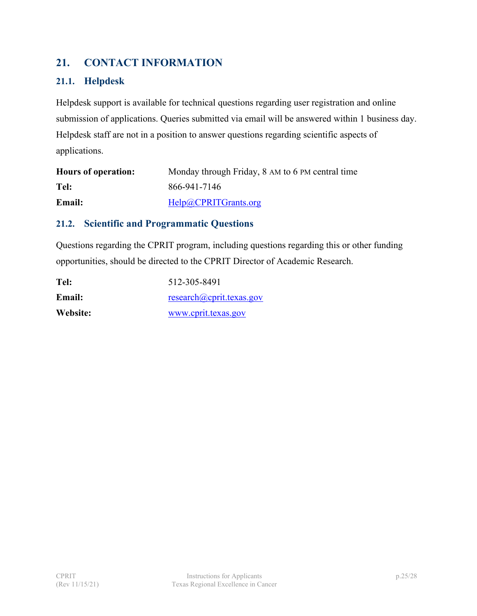# <span id="page-24-0"></span>**21. CONTACT INFORMATION**

#### <span id="page-24-1"></span>**21.1. Helpdesk**

Helpdesk support is available for technical questions regarding user registration and online submission of applications. Queries submitted via email will be answered within 1 business day. Helpdesk staff are not in a position to answer questions regarding scientific aspects of applications.

| <b>Hours of operation:</b> | Monday through Friday, 8 AM to 6 PM central time |
|----------------------------|--------------------------------------------------|
| Tel:                       | 866-941-7146                                     |
| <b>Email:</b>              | Help@CPRITGrants.org                             |

#### <span id="page-24-2"></span>**21.2. Scientific and Programmatic Questions**

Questions regarding the CPRIT program, including questions regarding this or other funding opportunities, should be directed to the CPRIT Director of Academic Research.

| Tel:          | 512-305-8491                                       |
|---------------|----------------------------------------------------|
| <b>Email:</b> | $res\{acp}$ research ( <i>a</i> ) coprit.texas.gov |
| Website:      | www.cprit.texas.gov                                |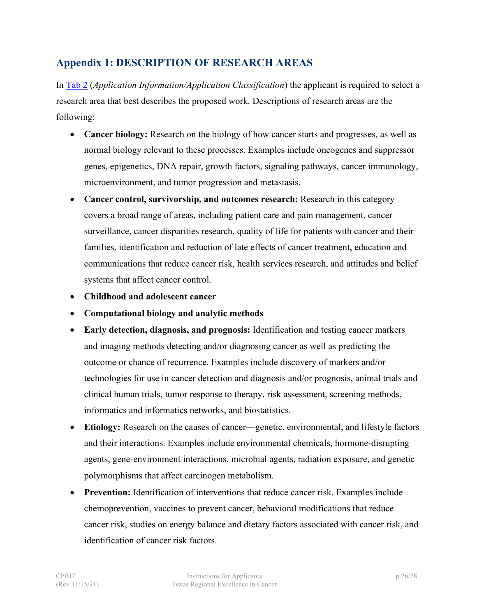# <span id="page-25-0"></span>**Appendix 1: DESCRIPTION OF RESEARCH AREAS**

In [Tab 2](#page-10-0) (*Application Information/Application Classification*) the applicant is required to select a research area that best describes the proposed work. Descriptions of research areas are the following:

- **Cancer biology:** Research on the biology of how cancer starts and progresses, as well as normal biology relevant to these processes. Examples include oncogenes and suppressor genes, epigenetics, DNA repair, growth factors, signaling pathways, cancer immunology, microenvironment, and tumor progression and metastasis.
- **Cancer control, survivorship, and outcomes research:** Research in this category covers a broad range of areas, including patient care and pain management, cancer surveillance, cancer disparities research, quality of life for patients with cancer and their families, identification and reduction of late effects of cancer treatment, education and communications that reduce cancer risk, health services research, and attitudes and belief systems that affect cancer control.
- **Childhood and adolescent cancer**
- **Computational biology and analytic methods**
- **Early detection, diagnosis, and prognosis:** Identification and testing cancer markers and imaging methods detecting and/or diagnosing cancer as well as predicting the outcome or chance of recurrence. Examples include discovery of markers and/or technologies for use in cancer detection and diagnosis and/or prognosis, animal trials and clinical human trials, tumor response to therapy, risk assessment, screening methods, informatics and informatics networks, and biostatistics.
- **Etiology:** Research on the causes of cancer—genetic, environmental, and lifestyle factors and their interactions. Examples include environmental chemicals, hormone-disrupting agents, gene-environment interactions, microbial agents, radiation exposure, and genetic polymorphisms that affect carcinogen metabolism.
- **Prevention:** Identification of interventions that reduce cancer risk. Examples include chemoprevention, vaccines to prevent cancer, behavioral modifications that reduce cancer risk, studies on energy balance and dietary factors associated with cancer risk, and identification of cancer risk factors.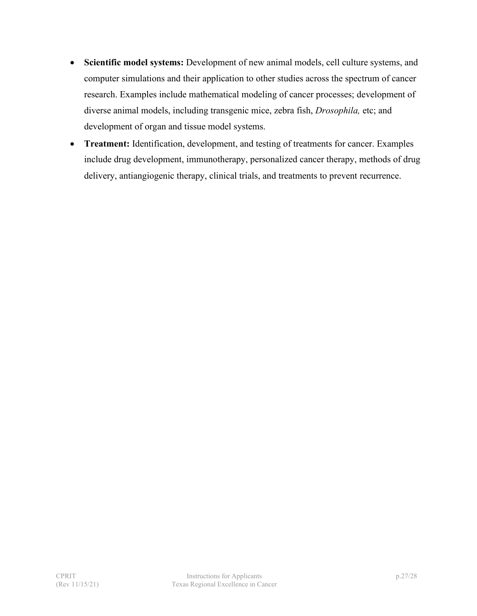- **Scientific model systems:** Development of new animal models, cell culture systems, and computer simulations and their application to other studies across the spectrum of cancer research. Examples include mathematical modeling of cancer processes; development of diverse animal models, including transgenic mice, zebra fish, *Drosophila,* etc; and development of organ and tissue model systems.
- **Treatment:** Identification, development, and testing of treatments for cancer. Examples include drug development, immunotherapy, personalized cancer therapy, methods of drug delivery, antiangiogenic therapy, clinical trials, and treatments to prevent recurrence.